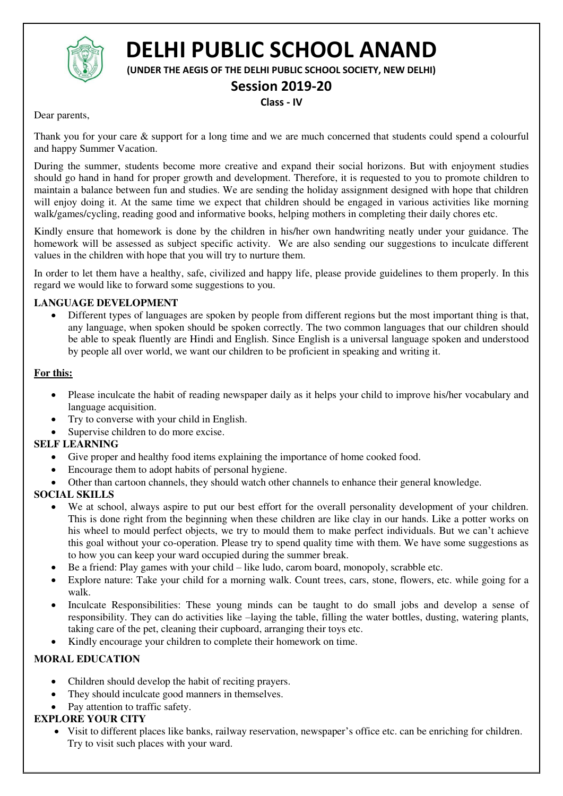

# **DELHI PUBLIC SCHOOL ANAND**

**(UNDER THE AEGIS OF THE DELHI PUBLIC SCHOOL SOCIETY, NEW DELHI)** 

## **Session 2019-20**

## **Class - IV**

Dear parents,

Thank you for your care & support for a long time and we are much concerned that students could spend a colourful and happy Summer Vacation.

During the summer, students become more creative and expand their social horizons. But with enjoyment studies should go hand in hand for proper growth and development. Therefore, it is requested to you to promote children to maintain a balance between fun and studies. We are sending the holiday assignment designed with hope that children will enjoy doing it. At the same time we expect that children should be engaged in various activities like morning walk/games/cycling, reading good and informative books, helping mothers in completing their daily chores etc.

Kindly ensure that homework is done by the children in his/her own handwriting neatly under your guidance. The homework will be assessed as subject specific activity. We are also sending our suggestions to inculcate different values in the children with hope that you will try to nurture them.

In order to let them have a healthy, safe, civilized and happy life, please provide guidelines to them properly. In this regard we would like to forward some suggestions to you.

## **LANGUAGE DEVELOPMENT**

 Different types of languages are spoken by people from different regions but the most important thing is that, any language, when spoken should be spoken correctly. The two common languages that our children should be able to speak fluently are Hindi and English. Since English is a universal language spoken and understood by people all over world, we want our children to be proficient in speaking and writing it.

## **For this:**

- Please inculcate the habit of reading newspaper daily as it helps your child to improve his/her vocabulary and language acquisition.
- Try to converse with your child in English.
- Supervise children to do more excise.

## **SELF LEARNING**

- Give proper and healthy food items explaining the importance of home cooked food.
- Encourage them to adopt habits of personal hygiene.
- Other than cartoon channels, they should watch other channels to enhance their general knowledge.

## **SOCIAL SKILLS**

- We at school, always aspire to put our best effort for the overall personality development of your children. This is done right from the beginning when these children are like clay in our hands. Like a potter works on his wheel to mould perfect objects, we try to mould them to make perfect individuals. But we can't achieve this goal without your co-operation. Please try to spend quality time with them. We have some suggestions as to how you can keep your ward occupied during the summer break.
- Be a friend: Play games with your child like ludo, carom board, monopoly, scrabble etc.
- Explore nature: Take your child for a morning walk. Count trees, cars, stone, flowers, etc. while going for a walk.
- Inculcate Responsibilities: These young minds can be taught to do small jobs and develop a sense of responsibility. They can do activities like –laying the table, filling the water bottles, dusting, watering plants, taking care of the pet, cleaning their cupboard, arranging their toys etc.
- Kindly encourage your children to complete their homework on time.

## **MORAL EDUCATION**

- Children should develop the habit of reciting prayers.
- They should inculcate good manners in themselves.
- Pay attention to traffic safety.

## **EXPLORE YOUR CITY**

 Visit to different places like banks, railway reservation, newspaper's office etc. can be enriching for children. Try to visit such places with your ward.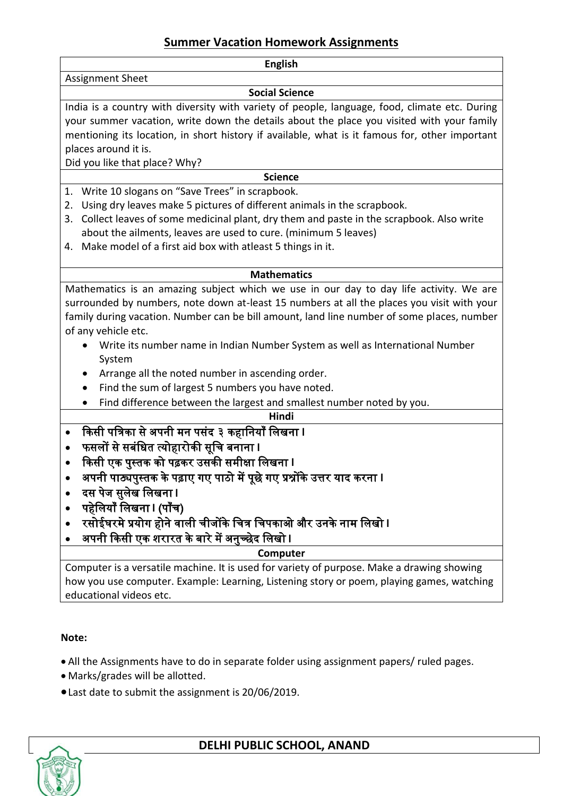## **Summer Vacation Homework Assignments**

| <b>English</b>                                                                                 |  |  |  |  |  |  |
|------------------------------------------------------------------------------------------------|--|--|--|--|--|--|
| <b>Assignment Sheet</b>                                                                        |  |  |  |  |  |  |
| <b>Social Science</b>                                                                          |  |  |  |  |  |  |
| India is a country with diversity with variety of people, language, food, climate etc. During  |  |  |  |  |  |  |
| your summer vacation, write down the details about the place you visited with your family      |  |  |  |  |  |  |
| mentioning its location, in short history if available, what is it famous for, other important |  |  |  |  |  |  |
| places around it is.                                                                           |  |  |  |  |  |  |
| Did you like that place? Why?                                                                  |  |  |  |  |  |  |
| <b>Science</b>                                                                                 |  |  |  |  |  |  |
| Write 10 slogans on "Save Trees" in scrapbook.<br>1.                                           |  |  |  |  |  |  |
| Using dry leaves make 5 pictures of different animals in the scrapbook.<br>2.                  |  |  |  |  |  |  |
| Collect leaves of some medicinal plant, dry them and paste in the scrapbook. Also write<br>3.  |  |  |  |  |  |  |
| about the ailments, leaves are used to cure. (minimum 5 leaves)                                |  |  |  |  |  |  |
| Make model of a first aid box with atleast 5 things in it.<br>4.                               |  |  |  |  |  |  |
|                                                                                                |  |  |  |  |  |  |
| <b>Mathematics</b>                                                                             |  |  |  |  |  |  |
| Mathematics is an amazing subject which we use in our day to day life activity. We are         |  |  |  |  |  |  |
| surrounded by numbers, note down at-least 15 numbers at all the places you visit with your     |  |  |  |  |  |  |
| family during vacation. Number can be bill amount, land line number of some places, number     |  |  |  |  |  |  |
| of any vehicle etc.                                                                            |  |  |  |  |  |  |
| Write its number name in Indian Number System as well as International Number                  |  |  |  |  |  |  |
| System                                                                                         |  |  |  |  |  |  |
| Arrange all the noted number in ascending order.                                               |  |  |  |  |  |  |
| Find the sum of largest 5 numbers you have noted.<br>$\bullet$                                 |  |  |  |  |  |  |
| Find difference between the largest and smallest number noted by you.                          |  |  |  |  |  |  |
| Hindi                                                                                          |  |  |  |  |  |  |
| किसी पत्रिका से अपनी मन पसंद ३ कहानियाँ लिखना ।<br>$\bullet$                                   |  |  |  |  |  |  |
| फसलों से सबंधित त्योहारोकी सूचि बनाना ।<br>$\bullet$                                           |  |  |  |  |  |  |
| किसी एक पुस्तक को पढ़कर उसकी समीक्षा लिखना ।<br>$\bullet$                                      |  |  |  |  |  |  |
| अपनी पाठ्यपुस्तक के पढ़ाए गए पाठो में पूछे गए प्रश्नोंके उत्तर याद करना ।                      |  |  |  |  |  |  |
| दस पेज सुलेख लिखना ।                                                                           |  |  |  |  |  |  |
| पहेलियाँ लिखना । (पाँच)                                                                        |  |  |  |  |  |  |
| रसोईघरमे प्रयोग होने वाली चीजोंके चित्र चिपकाओ और उनके नाम लिखो l                              |  |  |  |  |  |  |
| अपनी किसी एक शरारत के बारे में अनुच्छेद लिखो ।                                                 |  |  |  |  |  |  |
| Computer                                                                                       |  |  |  |  |  |  |
| Computer is a versatile machine. It is used for variety of purpose. Make a drawing showing     |  |  |  |  |  |  |
| how you use computer. Example: Learning, Listening story or poem, playing games, watching      |  |  |  |  |  |  |
| educational videos etc.                                                                        |  |  |  |  |  |  |

## **Note:**

- All the Assignments have to do in separate folder using assignment papers/ ruled pages.
- Marks/grades will be allotted.
- Last date to submit the assignment is 20/06/2019.



## **DELHI PUBLIC SCHOOL, ANAND**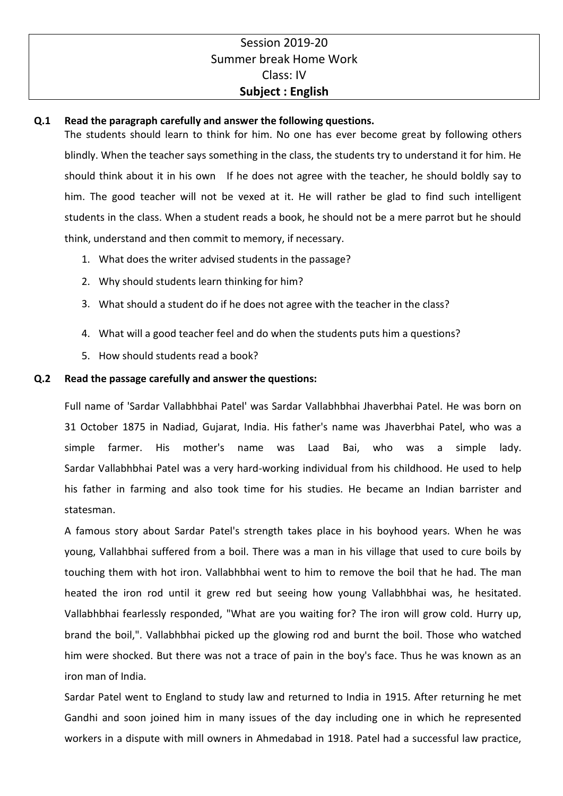## Session 2019-20 Summer break Home Work Class: IV **Subject : English**

## **Q.1 Read the paragraph carefully and answer the following questions.**

The students should learn to think for him. No one has ever become great by following others blindly. When the teacher says something in the class, the students try to understand it for him. He should think about it in his own If he does not agree with the teacher, he should boldly say to him. The good teacher will not be vexed at it. He will rather be glad to find such intelligent students in the class. When a student reads a book, he should not be a mere parrot but he should think, understand and then commit to memory, if necessary.

- 1. What does the writer advised students in the passage?
- 2. Why should students learn thinking for him?
- 3. What should a student do if he does not agree with the teacher in the class?
- 4. What will a good teacher feel and do when the students puts him a questions?
- 5. How should students read a book?

## **Q.2 Read the passage carefully and answer the questions:**

Full name of 'Sardar Vallabhbhai Patel' was Sardar Vallabhbhai Jhaverbhai Patel. He was born on 31 October 1875 in Nadiad, Gujarat, India. His father's name was Jhaverbhai Patel, who was a simple farmer. His mother's name was Laad Bai, who was a simple lady. Sardar Vallabhbhai Patel was a very hard-working individual from his childhood. He used to help his father in farming and also took time for his studies. He became an Indian barrister and statesman.

A famous story about Sardar Patel's strength takes place in his boyhood years. When he was young, Vallahbhai suffered from a boil. There was a man in his village that used to cure boils by touching them with hot iron. Vallabhbhai went to him to remove the boil that he had. The man heated the iron rod until it grew red but seeing how young Vallabhbhai was, he hesitated. Vallabhbhai fearlessly responded, "What are you waiting for? The iron will grow cold. Hurry up, brand the boil,". Vallabhbhai picked up the glowing rod and burnt the boil. Those who watched him were shocked. But there was not a trace of pain in the boy's face. Thus he was known as an iron man of India.

Sardar Patel went to England to study law and returned to India in 1915. After returning he met Gandhi and soon joined him in many issues of the day including one in which he represented workers in a dispute with mill owners in Ahmedabad in 1918. Patel had a successful law practice,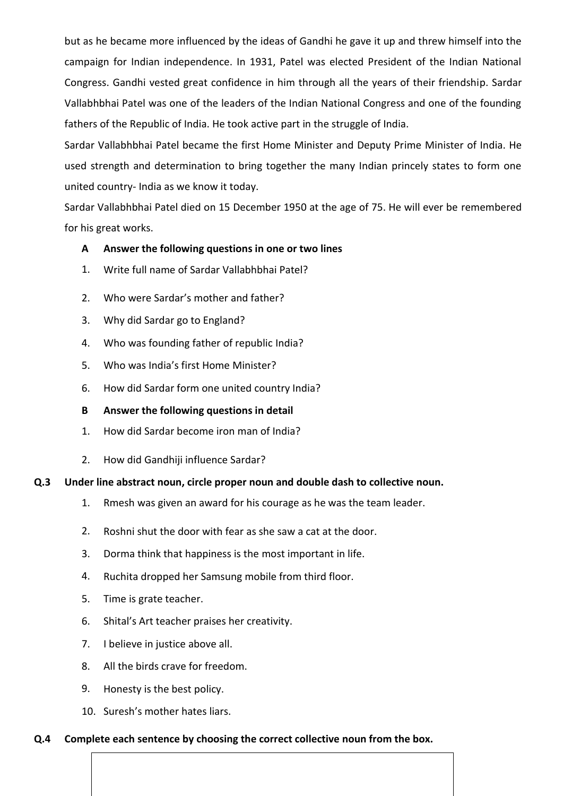but as he became more influenced by the ideas of Gandhi he gave it up and threw himself into the campaign for Indian independence. In 1931, Patel was elected President of the Indian National Congress. Gandhi vested great confidence in him through all the years of their friendship. Sardar Vallabhbhai Patel was one of the leaders of the Indian National Congress and one of the founding fathers of the Republic of India. He took active part in the struggle of India.

Sardar Vallabhbhai Patel became the first Home Minister and Deputy Prime Minister of India. He used strength and determination to bring together the many Indian princely states to form one united country- India as we know it today.

Sardar Vallabhbhai Patel died on 15 December 1950 at the age of 75. He will ever be remembered for his great works.

## **A Answer the following questions in one or two lines**

- 1. Write full name of Sardar Vallabhbhai Patel?
- 2. Who were Sardar's mother and father?
- 3. Why did Sardar go to England?
- 4. Who was founding father of republic India?
- 5. Who was India's first Home Minister?
- 6. How did Sardar form one united country India?
- **B Answer the following questions in detail**
- 1. How did Sardar become iron man of India?
- 2. How did Gandhiji influence Sardar?

#### **Q.3 Under line abstract noun, circle proper noun and double dash to collective noun.**

- 1. Rmesh was given an award for his courage as he was the team leader.
- 2. Roshni shut the door with fear as she saw a cat at the door.
- 3. Dorma think that happiness is the most important in life.
- 4. Ruchita dropped her Samsung mobile from third floor.
- 5. Time is grate teacher.
- 6. Shital's Art teacher praises her creativity.
- 7. I believe in justice above all.
- 8. All the birds crave for freedom.
- 9. Honesty is the best policy.
- 10. Suresh's mother hates liars.

#### **Q.4 Complete each sentence by choosing the correct collective noun from the box.**